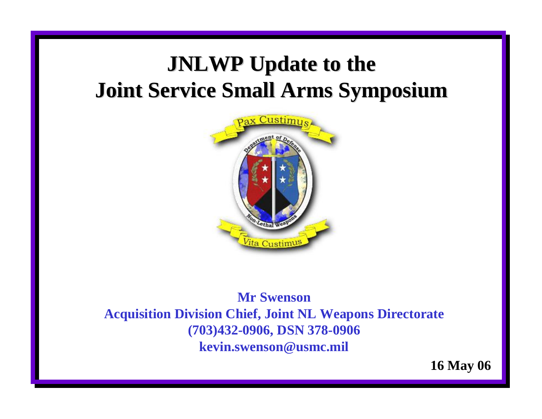## **JNLWP Update to the Joint Service Small Arms Symposium Joint Service Small Arms Symposium**



### **Mr SwensonAcquisition Division Chief, Joint NL Weapons Directorate (703)432-0906, DSN 378-0906 kevin.swenson@usmc.mil**

**16 May 06**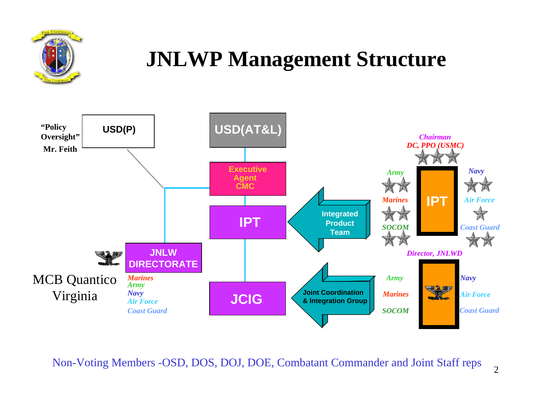

## **JNLWP Management Structure**



Non-Voting Members -OSD, DOS, DOJ, DOE, Combatant Commander and Joint Staff reps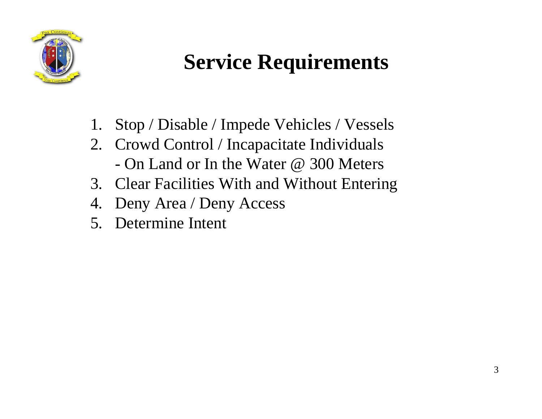

# **Service Requirements**

- 1. Stop / Disable / Impede Vehicles / Vessels
- 2. Crowd Control / Incapacitate Individuals - On Land or In the Water @ 300 Meters
- 3. Clear Facilities With and Without Entering
- 4. Deny Area / Deny Access
- 5. Determine Intent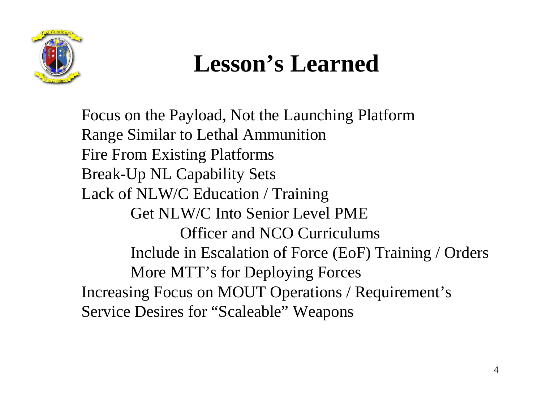

# **Lesson's Learned**

Focus on the Payload, Not the Launching Platform Range Similar to Lethal Ammunition Fire From Existing Platforms Break-Up NL Capability Sets Lack of NLW/C Education / Training Get NLW/C Into Senior Level PMEOfficer and NCO Curriculums Include in Escalation of Force (EoF) Training / Orders More MTT's for Deploying Forces Increasing Focus on MOUT Operations / Requirement's Service Desires for "Scaleable" Weapons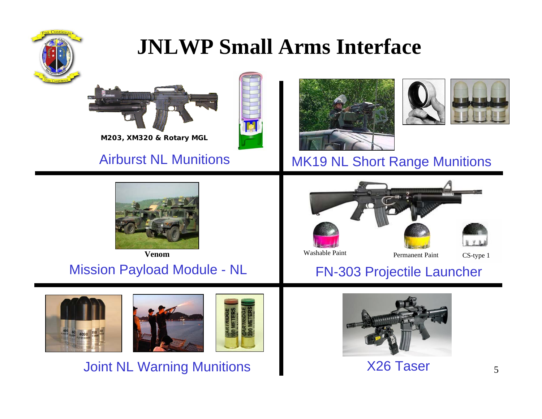

## **JNLWP Small Arms Interface**





### Airburst NL Munitions





## MK19 NL Short Range Munitions



**Venom**

## Mission Payload Module - NL FN-303 Projectile Launcher